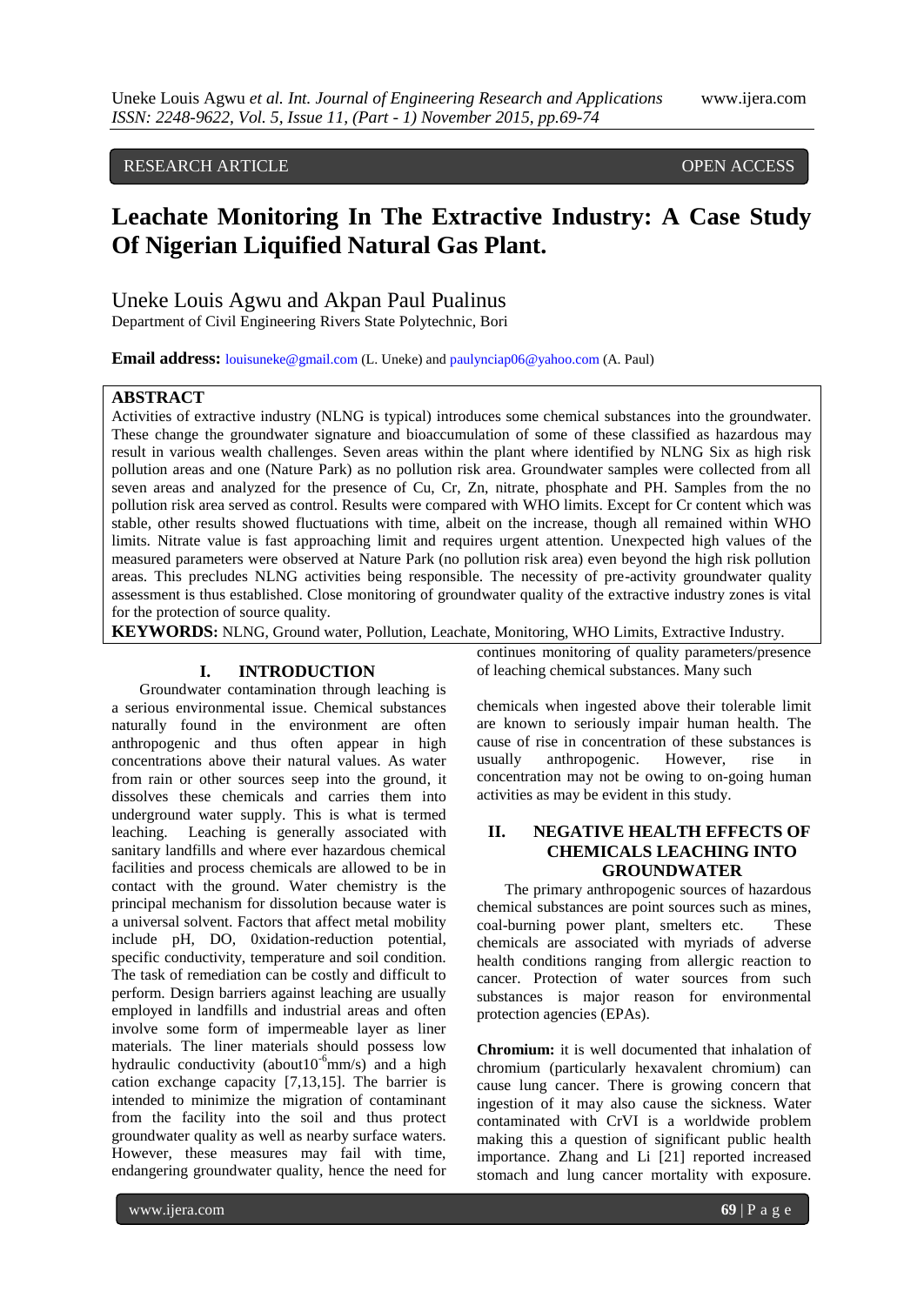RESEARCH ARTICLE **CONSERVERS** OPEN ACCESS

# **Leachate Monitoring In The Extractive Industry: A Case Study Of Nigerian Liquified Natural Gas Plant.**

Uneke Louis Agwu and Akpan Paul Pualinus

Department of Civil Engineering Rivers State Polytechnic, Bori

**Email address:** louisuneke@gmail.com (L. Uneke) and paulynciap06@yahoo.com (A. Paul)

# **ABSTRACT**

Activities of extractive industry (NLNG is typical) introduces some chemical substances into the groundwater. These change the groundwater signature and bioaccumulation of some of these classified as hazardous may result in various wealth challenges. Seven areas within the plant where identified by NLNG Six as high risk pollution areas and one (Nature Park) as no pollution risk area. Groundwater samples were collected from all seven areas and analyzed for the presence of Cu, Cr, Zn, nitrate, phosphate and PH. Samples from the no pollution risk area served as control. Results were compared with WHO limits. Except for Cr content which was stable, other results showed fluctuations with time, albeit on the increase, though all remained within WHO limits. Nitrate value is fast approaching limit and requires urgent attention. Unexpected high values of the measured parameters were observed at Nature Park (no pollution risk area) even beyond the high risk pollution areas. This precludes NLNG activities being responsible. The necessity of pre-activity groundwater quality assessment is thus established. Close monitoring of groundwater quality of the extractive industry zones is vital for the protection of source quality.

**KEYWORDS:** NLNG, Ground water, Pollution, Leachate, Monitoring, WHO Limits, Extractive Industry.

# **I. INTRODUCTION**

Groundwater contamination through leaching is a serious environmental issue. Chemical substances naturally found in the environment are often anthropogenic and thus often appear in high concentrations above their natural values. As water from rain or other sources seep into the ground, it dissolves these chemicals and carries them into underground water supply. This is what is termed leaching. Leaching is generally associated with sanitary landfills and where ever hazardous chemical facilities and process chemicals are allowed to be in contact with the ground. Water chemistry is the principal mechanism for dissolution because water is a universal solvent. Factors that affect metal mobility include pH, DO, 0xidation-reduction potential, specific conductivity, temperature and soil condition. The task of remediation can be costly and difficult to perform. Design barriers against leaching are usually employed in landfills and industrial areas and often involve some form of impermeable layer as liner materials. The liner materials should possess low hydraulic conductivity (about  $10^{-6}$ mm/s) and a high cation exchange capacity [7,13,15]. The barrier is intended to minimize the migration of contaminant from the facility into the soil and thus protect groundwater quality as well as nearby surface waters. However, these measures may fail with time, endangering groundwater quality, hence the need for

continues monitoring of quality parameters/presence of leaching chemical substances. Many such

chemicals when ingested above their tolerable limit are known to seriously impair human health. The cause of rise in concentration of these substances is<br>usually anthropogenic. However. rise in usually anthropogenic. However, rise in concentration may not be owing to on-going human activities as may be evident in this study.

# **II. NEGATIVE HEALTH EFFECTS OF CHEMICALS LEACHING INTO GROUNDWATER**

The primary anthropogenic sources of hazardous chemical substances are point sources such as mines, coal-burning power plant, smelters etc. These chemicals are associated with myriads of adverse health conditions ranging from allergic reaction to cancer. Protection of water sources from such substances is major reason for environmental protection agencies (EPAs).

**Chromium:** it is well documented that inhalation of chromium (particularly hexavalent chromium) can cause lung cancer. There is growing concern that ingestion of it may also cause the sickness. Water contaminated with CrVI is a worldwide problem making this a question of significant public health importance. Zhang and Li [21] reported increased stomach and lung cancer mortality with exposure.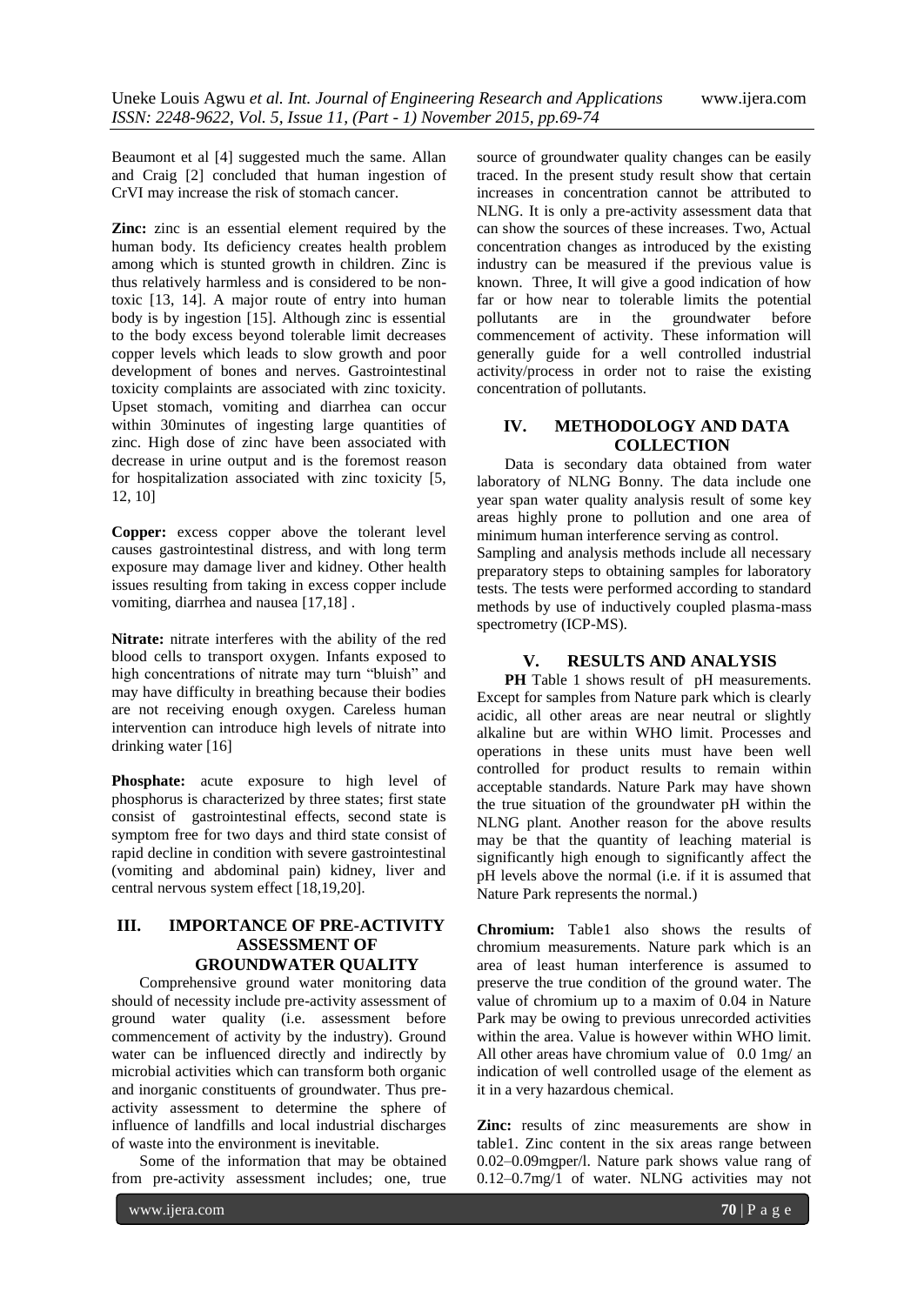Beaumont et al [4] suggested much the same. Allan and Craig [2] concluded that human ingestion of CrVI may increase the risk of stomach cancer.

**Zinc:** zinc is an essential element required by the human body. Its deficiency creates health problem among which is stunted growth in children. Zinc is thus relatively harmless and is considered to be nontoxic [13, 14]. A major route of entry into human body is by ingestion [15]. Although zinc is essential to the body excess beyond tolerable limit decreases copper levels which leads to slow growth and poor development of bones and nerves. Gastrointestinal toxicity complaints are associated with zinc toxicity. Upset stomach, vomiting and diarrhea can occur within 30minutes of ingesting large quantities of zinc. High dose of zinc have been associated with decrease in urine output and is the foremost reason for hospitalization associated with zinc toxicity [5, 12, 10]

**Copper:** excess copper above the tolerant level causes gastrointestinal distress, and with long term exposure may damage liver and kidney. Other health issues resulting from taking in excess copper include vomiting, diarrhea and nausea [17,18] .

**Nitrate:** nitrate interferes with the ability of the red blood cells to transport oxygen. Infants exposed to high concentrations of nitrate may turn "bluish" and may have difficulty in breathing because their bodies are not receiving enough oxygen. Careless human intervention can introduce high levels of nitrate into drinking water [16]

**Phosphate:** acute exposure to high level of phosphorus is characterized by three states; first state consist of gastrointestinal effects, second state is symptom free for two days and third state consist of rapid decline in condition with severe gastrointestinal (vomiting and abdominal pain) kidney, liver and central nervous system effect [18,19,20].

## **III. IMPORTANCE OF PRE-ACTIVITY ASSESSMENT OF GROUNDWATER QUALITY**

Comprehensive ground water monitoring data should of necessity include pre-activity assessment of ground water quality (i.e. assessment before commencement of activity by the industry). Ground water can be influenced directly and indirectly by microbial activities which can transform both organic and inorganic constituents of groundwater. Thus preactivity assessment to determine the sphere of influence of landfills and local industrial discharges of waste into the environment is inevitable.

Some of the information that may be obtained from pre-activity assessment includes; one, true

source of groundwater quality changes can be easily traced. In the present study result show that certain increases in concentration cannot be attributed to NLNG. It is only a pre-activity assessment data that can show the sources of these increases. Two, Actual concentration changes as introduced by the existing industry can be measured if the previous value is known. Three, It will give a good indication of how far or how near to tolerable limits the potential pollutants are in the groundwater before commencement of activity. These information will generally guide for a well controlled industrial activity/process in order not to raise the existing concentration of pollutants.

## **IV. METHODOLOGY AND DATA COLLECTION**

Data is secondary data obtained from water laboratory of NLNG Bonny. The data include one year span water quality analysis result of some key areas highly prone to pollution and one area of minimum human interference serving as control. Sampling and analysis methods include all necessary preparatory steps to obtaining samples for laboratory tests. The tests were performed according to standard methods by use of inductively coupled plasma-mass spectrometry (ICP-MS).

#### **V. RESULTS AND ANALYSIS**

**PH** Table 1 shows result of pH measurements. Except for samples from Nature park which is clearly acidic, all other areas are near neutral or slightly alkaline but are within WHO limit. Processes and operations in these units must have been well controlled for product results to remain within acceptable standards. Nature Park may have shown the true situation of the groundwater pH within the NLNG plant. Another reason for the above results may be that the quantity of leaching material is significantly high enough to significantly affect the pH levels above the normal (i.e. if it is assumed that Nature Park represents the normal.)

**Chromium:** Table1 also shows the results of chromium measurements. Nature park which is an area of least human interference is assumed to preserve the true condition of the ground water. The value of chromium up to a maxim of 0.04 in Nature Park may be owing to previous unrecorded activities within the area. Value is however within WHO limit. All other areas have chromium value of 0.0 1mg/ an indication of well controlled usage of the element as it in a very hazardous chemical.

**Zinc:** results of zinc measurements are show in table1. Zinc content in the six areas range between 0.02–0.09mgper/l. Nature park shows value rang of 0.12–0.7mg/1 of water. NLNG activities may not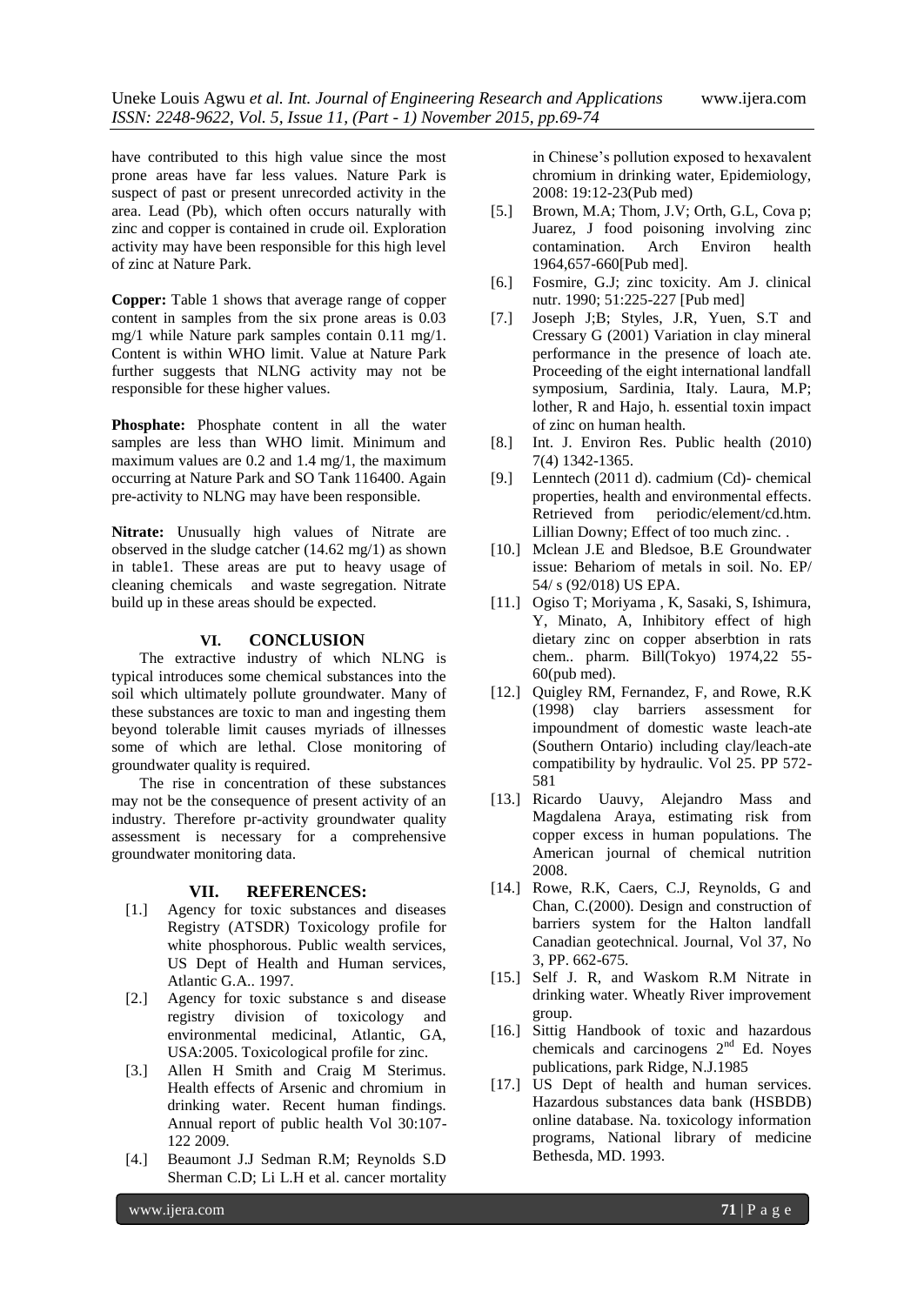have contributed to this high value since the most prone areas have far less values. Nature Park is suspect of past or present unrecorded activity in the area. Lead (Pb), which often occurs naturally with zinc and copper is contained in crude oil. Exploration activity may have been responsible for this high level of zinc at Nature Park.

**Copper:** Table 1 shows that average range of copper content in samples from the six prone areas is 0.03 mg/1 while Nature park samples contain 0.11 mg/1. Content is within WHO limit. Value at Nature Park further suggests that NLNG activity may not be responsible for these higher values.

**Phosphate:** Phosphate content in all the water samples are less than WHO limit. Minimum and maximum values are 0.2 and 1.4 mg/1, the maximum occurring at Nature Park and SO Tank 116400. Again pre-activity to NLNG may have been responsible.

**Nitrate:** Unusually high values of Nitrate are observed in the sludge catcher (14.62 mg/1) as shown in table1. These areas are put to heavy usage of cleaning chemicals and waste segregation. Nitrate build up in these areas should be expected.

### **VI. CONCLUSION**

The extractive industry of which NLNG is typical introduces some chemical substances into the soil which ultimately pollute groundwater. Many of these substances are toxic to man and ingesting them beyond tolerable limit causes myriads of illnesses some of which are lethal. Close monitoring of groundwater quality is required.

The rise in concentration of these substances may not be the consequence of present activity of an industry. Therefore pr-activity groundwater quality assessment is necessary for a comprehensive groundwater monitoring data.

#### **VII. REFERENCES:**

- [1.] Agency for toxic substances and diseases Registry (ATSDR) Toxicology profile for white phosphorous. Public wealth services, US Dept of Health and Human services, Atlantic G.A.. 1997.
- [2.] Agency for toxic substance s and disease registry division of toxicology and environmental medicinal, Atlantic, GA, USA:2005. Toxicological profile for zinc.
- [3.] Allen H Smith and Craig M Sterimus. Health effects of Arsenic and chromium in drinking water. Recent human findings. Annual report of public health Vol 30:107- 122 2009.
- [4.] Beaumont J.J Sedman R.M; Reynolds S.D Sherman C.D; Li L.H et al. cancer mortality

in Chinese's pollution exposed to hexavalent chromium in drinking water, Epidemiology, 2008: 19:12-23(Pub med)

- [5.] Brown, M.A; Thom, J.V; Orth, G.L, Cova p; Juarez, J food poisoning involving zinc contamination. Arch Environ health 1964,657-660[Pub med].
- [6.] Fosmire, G.J; zinc toxicity. Am J. clinical nutr. 1990; 51:225-227 [Pub med]
- [7.] Joseph J;B; Styles, J.R, Yuen, S.T and Cressary G (2001) Variation in clay mineral performance in the presence of loach ate. Proceeding of the eight international landfall symposium, Sardinia, Italy. Laura, M.P; lother, R and Hajo, h. essential toxin impact of zinc on human health.
- [8.] Int. J. Environ Res. Public health (2010) 7(4) 1342-1365.
- [9.] Lenntech (2011 d). cadmium (Cd)- chemical properties, health and environmental effects. Retrieved from periodic/element/cd.htm. Lillian Downy; Effect of too much zinc. .
- [10.] Mclean J.E and Bledsoe, B.E Groundwater issue: Behariom of metals in soil. No. EP/ 54/ s (92/018) US EPA.
- [11.] Ogiso T; Moriyama , K, Sasaki, S, Ishimura, Y, Minato, A, Inhibitory effect of high dietary zinc on copper abserbtion in rats chem.. pharm. Bill(Tokyo) 1974,22 55- 60(pub med).
- [12.] Quigley RM, Fernandez, F, and Rowe, R.K (1998) clay barriers assessment for impoundment of domestic waste leach-ate (Southern Ontario) including clay/leach-ate compatibility by hydraulic. Vol 25. PP 572- 581
- [13.] Ricardo Uauvy, Alejandro Mass and Magdalena Araya, estimating risk from copper excess in human populations. The American journal of chemical nutrition 2008.
- [14.] Rowe, R.K, Caers, C.J, Reynolds, G and Chan, C.(2000). Design and construction of barriers system for the Halton landfall Canadian geotechnical. Journal, Vol 37, No 3, PP. 662-675.
- [15.] Self J. R, and Waskom R.M Nitrate in drinking water. Wheatly River improvement group.
- [16.] Sittig Handbook of toxic and hazardous chemicals and carcinogens  $2<sup>nd</sup>$  Ed. Noyes publications, park Ridge, N.J.1985
- [17.] US Dept of health and human services. Hazardous substances data bank (HSBDB) online database. Na. toxicology information programs, National library of medicine Bethesda, MD. 1993.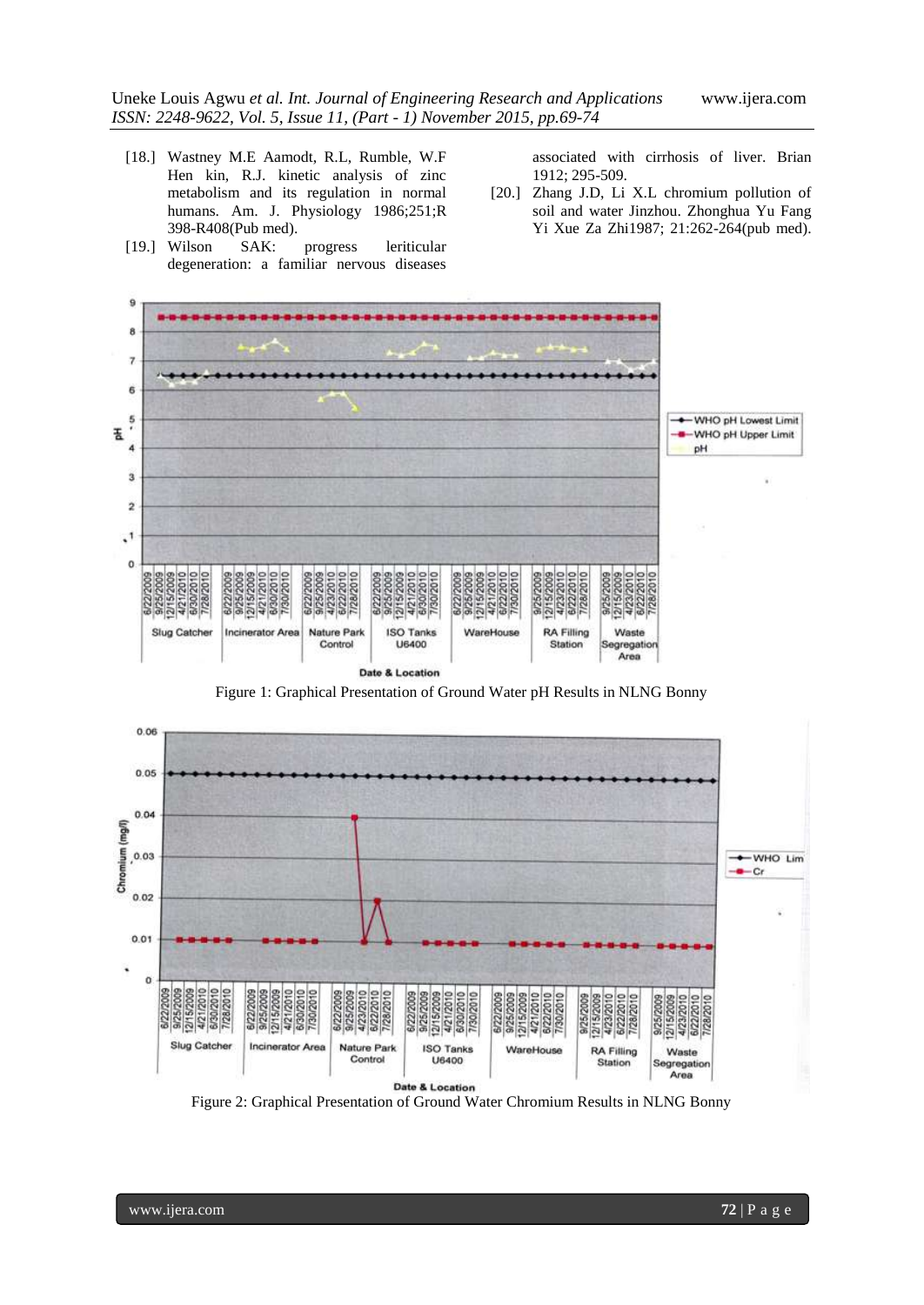- [18.] Wastney M.E Aamodt, R.L, Rumble, W.F Hen kin, R.J. kinetic analysis of zinc metabolism and its regulation in normal humans. Am. J. Physiology 1986;251;R 398-R408(Pub med).
- [19.] Wilson SAK: progress leriticular degeneration: a familiar nervous diseases

associated with cirrhosis of liver. Brian 1912; 295-509.

[20.] Zhang J.D, Li X.L chromium pollution of soil and water Jinzhou. Zhonghua Yu Fang Yi Xue Za Zhi1987; 21:262-264(pub med).



Figure 1: Graphical Presentation of Ground Water pH Results in NLNG Bonny



Figure 2: Graphical Presentation of Ground Water Chromium Results in NLNG Bonny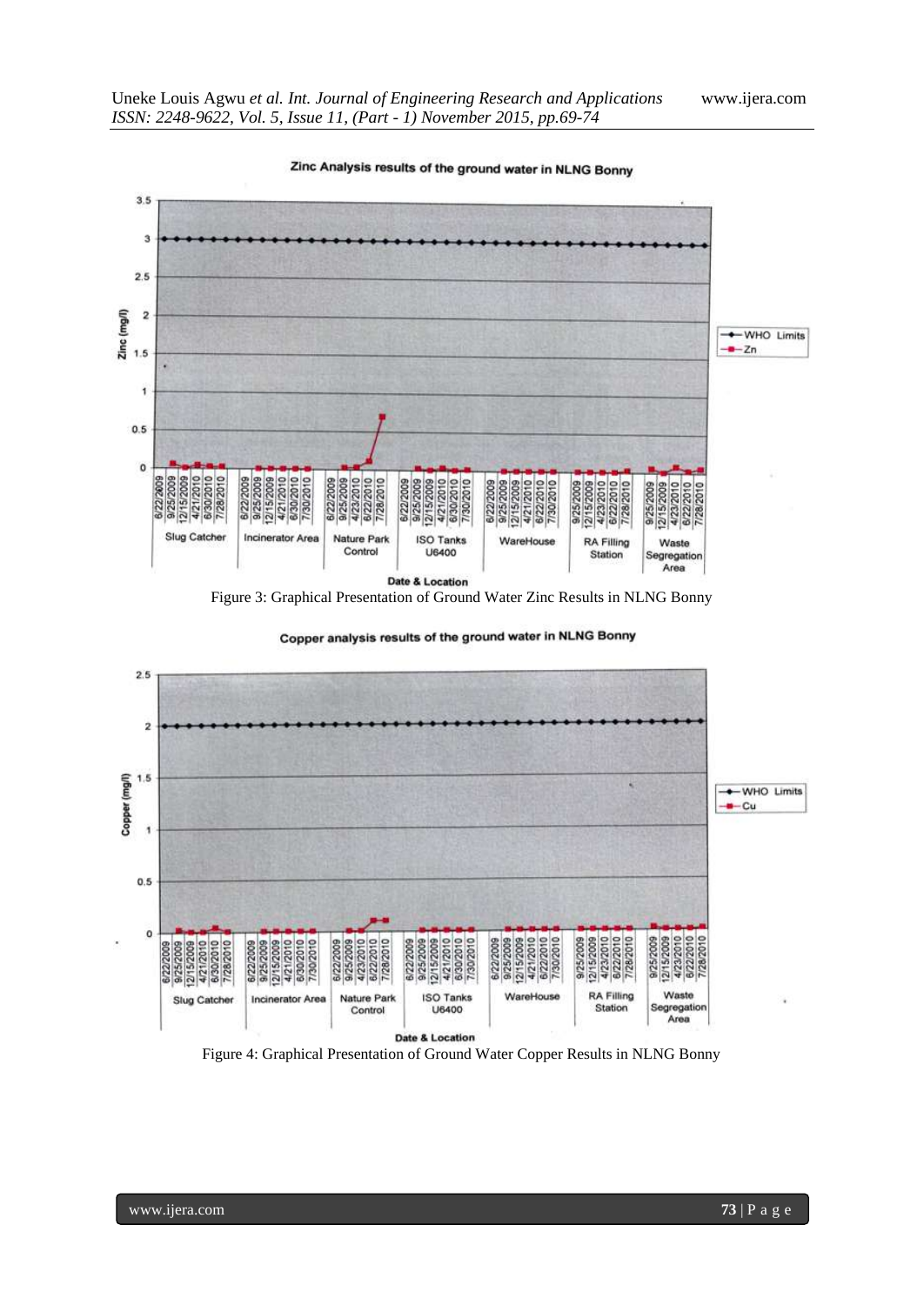

Zinc Analysis results of the ground water in NLNG Bonny

Figure 3: Graphical Presentation of Ground Water Zinc Results in NLNG Bonny

Copper analysis results of the ground water in NLNG Bonny